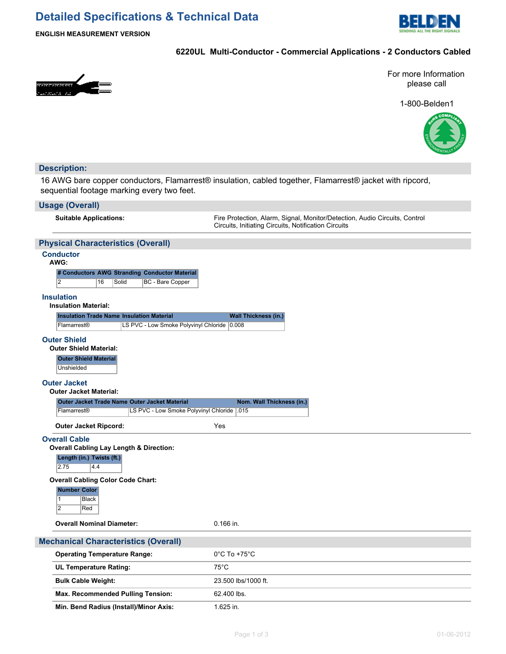# **Detailed Specifications & Technical Data**



**ENGLISH MEASUREMENT VERSION**

# **6220UL Multi-Conductor - Commercial Applications - 2 Conductors Cabled**



For more Information please call

1-800-Belden1



# **Description:**

16 AWG bare copper conductors, Flamarrest® insulation, cabled together, Flamarrest® jacket with ripcord, sequential footage marking every two feet.

### **Usage (Overall)**

**Suitable Applications:** Fire Protection, Alarm, Signal, Monitor/Detection, Audio Circuits, Control Circuits, Initiating Circuits, Notification Circuits

# **Physical Characteristics (Overall)**

# **Conductor**

| ۰.<br>M.<br>۰. |  |
|----------------|--|
|----------------|--|

|   |              |       | # Conductors AWG Stranding Conductor Material |
|---|--------------|-------|-----------------------------------------------|
| 2 | $ 16\rangle$ | Solid | <b>BC</b> - Bare Copper                       |

#### **Insulation**

#### **Insulation Material:**

| <b>Insulation Trade Name Insulation Material</b> |                                             | <b>Wall Thickness (in.)</b> |
|--------------------------------------------------|---------------------------------------------|-----------------------------|
| <b>IFlamarrest<sup>®</sup></b>                   | LS PVC - Low Smoke Polyvinyl Chloride 0.008 |                             |

#### **Outer Shield**

**Outer Shield Material: Outer Shield Material Unshielded** 

#### **Outer Jacket**

**Outer Jacket Material:**

| Outer Jacket Trade Name Outer Jacket Material |                                             | Nom. Wall Thickness (in.) |
|-----------------------------------------------|---------------------------------------------|---------------------------|
| <b>Flamarrest®</b>                            | LS PVC - Low Smoke Polyvinyl Chloride   015 |                           |

**Outer Jacket Ripcord:** Yes

#### **Overall Cable**

#### **Overall Cabling Lay Length & Direction:**

**Length (in.) Twists (ft.)**

 $2.75$  4.4

**Overall Cabling Color Code Chart:**

| Number Color |       |
|--------------|-------|
|              | Black |
|              | Red   |

**Overall Nominal Diameter:** 0.166 in.

### **Mechanical Characteristics (Overall)**

| <b>Operating Temperature Range:</b>      | $0^{\circ}$ C To +75 $^{\circ}$ C |
|------------------------------------------|-----------------------------------|
| <b>UL Temperature Rating:</b>            | 75°C                              |
| <b>Bulk Cable Weight:</b>                | 23.500 lbs/1000 ft.               |
| <b>Max. Recommended Pulling Tension:</b> | 62.400 lbs.                       |
| Min. Bend Radius (Install)/Minor Axis:   | 1.625 in.                         |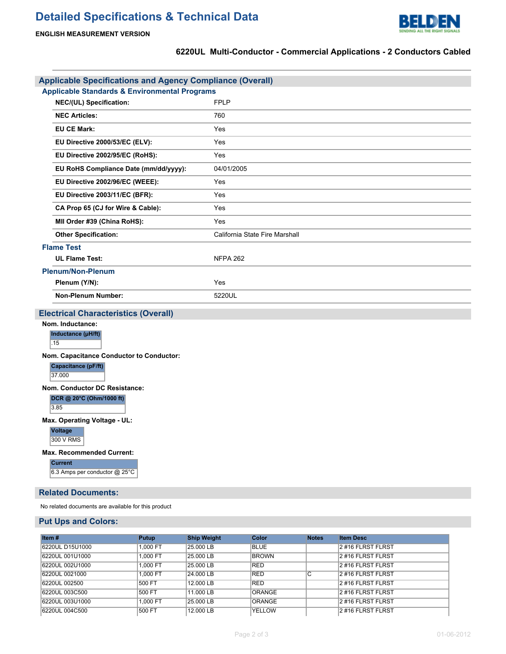

# **ENGLISH MEASUREMENT VERSION**

# **6220UL Multi-Conductor - Commercial Applications - 2 Conductors Cabled**

| <b>Applicable Specifications and Agency Compliance (Overall)</b> |                                |
|------------------------------------------------------------------|--------------------------------|
| <b>Applicable Standards &amp; Environmental Programs</b>         |                                |
| NEC/(UL) Specification:                                          | <b>FPLP</b>                    |
| <b>NEC Articles:</b>                                             | 760                            |
| <b>EU CE Mark:</b>                                               | Yes                            |
| EU Directive 2000/53/EC (ELV):                                   | Yes                            |
| EU Directive 2002/95/EC (RoHS):                                  | Yes                            |
| EU RoHS Compliance Date (mm/dd/yyyy):                            | 04/01/2005                     |
| EU Directive 2002/96/EC (WEEE):                                  | Yes                            |
| EU Directive 2003/11/EC (BFR):                                   | Yes                            |
| CA Prop 65 (CJ for Wire & Cable):                                | Yes                            |
| MII Order #39 (China RoHS):                                      | Yes                            |
| <b>Other Specification:</b>                                      | California State Fire Marshall |
| <b>Flame Test</b>                                                |                                |
| <b>UL Flame Test:</b>                                            | <b>NFPA 262</b>                |
| <b>Plenum/Non-Plenum</b>                                         |                                |
| Plenum (Y/N):                                                    | Yes                            |
| <b>Non-Plenum Number:</b>                                        | 5220UL                         |
| <b>Electrical Characteristics (Overall)</b>                      |                                |
| Nom. Inductance:                                                 |                                |
| Inductance (µH/ft)                                               |                                |
| .15                                                              |                                |
| Nom. Capacitance Conductor to Conductor:<br>Capacitance (pF/ft)  |                                |
| 37.000                                                           |                                |
| Nom. Conductor DC Resistance:                                    |                                |
| DCR @ 20°C (Ohm/1000 ft)                                         |                                |
| 3.85                                                             |                                |
| Max. Operating Voltage - UL:                                     |                                |
| Voltage<br>300 V RMS                                             |                                |
| <b>Max. Recommended Current:</b>                                 |                                |
| <b>Current</b>                                                   |                                |
| 6.3 Amps per conductor @ 25°C                                    |                                |
| <b>Related Documents:</b>                                        |                                |
|                                                                  |                                |

No related documents are available for this product

# **Put Ups and Colors:**

| Item $#$        | Putup    | <b>Ship Weight</b> | <b>Color</b>  | <b>Notes</b> | <b>Item Desc</b>  |
|-----------------|----------|--------------------|---------------|--------------|-------------------|
| 6220UL D15U1000 | 1.000 FT | 25.000 LB          | <b>BLUE</b>   |              | 2 #16 FLRST FLRST |
| 6220UL 001U1000 | 1.000 FT | 25.000 LB          | <b>BROWN</b>  |              | 2#16 FLRST FLRST  |
| 6220UL 002U1000 | 1.000 FT | 25,000 LB          | <b>RED</b>    |              | 2#16 FLRST FLRST  |
| 6220UL 0021000  | 1.000 FT | 24.000 LB          | RED           | С            | 2 #16 FLRST FLRST |
| 6220UL 002500   | 500 FT   | 12.000 LB          | RED           |              | 2#16 FLRST FLRST  |
| 6220UL 003C500  | 500 FT   | 11.000 LB          | <b>ORANGE</b> |              | 2 #16 FLRST FLRST |
| 6220UL 003U1000 | 1.000 FT | 25.000 LB          | <b>ORANGE</b> |              | 2 #16 FLRST FLRST |
| 6220UL 004C500  | 500 FT   | 12.000 LB          | <b>YELLOW</b> |              | 2 #16 FLRST FLRST |